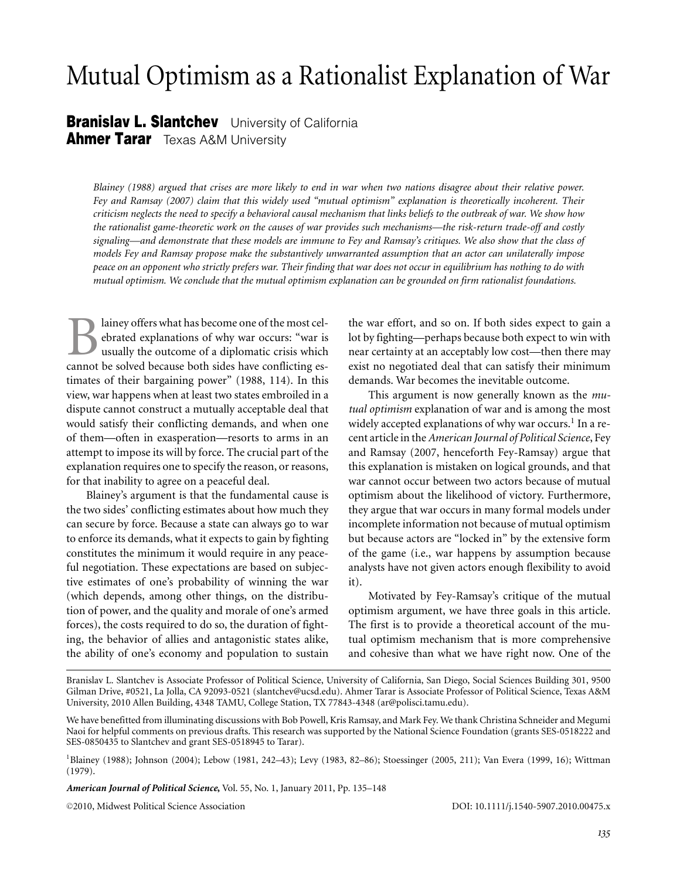# Mutual Optimism as a Rationalist Explanation of War

# **Branislav L. Slantchev** University of California **Ahmer Tarar** Texas A&M University

*Blainey (1988) argued that crises are more likely to end in war when two nations disagree about their relative power. Fey and Ramsay (2007) claim that this widely used "mutual optimism" explanation is theoretically incoherent. Their criticism neglects the need to specify a behavioral causal mechanism that links beliefs to the outbreak of war. We show how the rationalist game-theoretic work on the causes of war provides such mechanisms—the risk-return trade-off and costly signaling—and demonstrate that these models are immune to Fey and Ramsay's critiques. We also show that the class of models Fey and Ramsay propose make the substantively unwarranted assumption that an actor can unilaterally impose peace on an opponent who strictly prefers war. Their finding that war does not occur in equilibrium has nothing to do with mutual optimism. We conclude that the mutual optimism explanation can be grounded on firm rationalist foundations.*

lainey offers what has become one of the most celebrated explanations of why war occurs: "war is usually the outcome of a diplomatic crisis which cannot be solved because both sides have conflicting estimates of their bargaining power" (1988, 114). In this view, war happens when at least two states embroiled in a dispute cannot construct a mutually acceptable deal that would satisfy their conflicting demands, and when one of them—often in exasperation—resorts to arms in an attempt to impose its will by force. The crucial part of the explanation requires one to specify the reason, or reasons, for that inability to agree on a peaceful deal.

Blainey's argument is that the fundamental cause is the two sides' conflicting estimates about how much they can secure by force. Because a state can always go to war to enforce its demands, what it expects to gain by fighting constitutes the minimum it would require in any peaceful negotiation. These expectations are based on subjective estimates of one's probability of winning the war (which depends, among other things, on the distribution of power, and the quality and morale of one's armed forces), the costs required to do so, the duration of fighting, the behavior of allies and antagonistic states alike, the ability of one's economy and population to sustain

the war effort, and so on. If both sides expect to gain a lot by fighting—perhaps because both expect to win with near certainty at an acceptably low cost—then there may exist no negotiated deal that can satisfy their minimum demands. War becomes the inevitable outcome.

This argument is now generally known as the *mutual optimism* explanation of war and is among the most widely accepted explanations of why war occurs.<sup>1</sup> In a recent article in the*American Journal of Political Science*, Fey and Ramsay (2007, henceforth Fey-Ramsay) argue that this explanation is mistaken on logical grounds, and that war cannot occur between two actors because of mutual optimism about the likelihood of victory. Furthermore, they argue that war occurs in many formal models under incomplete information not because of mutual optimism but because actors are "locked in" by the extensive form of the game (i.e., war happens by assumption because analysts have not given actors enough flexibility to avoid it).

Motivated by Fey-Ramsay's critique of the mutual optimism argument, we have three goals in this article. The first is to provide a theoretical account of the mutual optimism mechanism that is more comprehensive and cohesive than what we have right now. One of the

1Blainey (1988); Johnson (2004); Lebow (1981, 242–43); Levy (1983, 82–86); Stoessinger (2005, 211); Van Evera (1999, 16); Wittman (1979).

*American Journal of Political Science***,** Vol. 55, No. 1, January 2011, Pp. 135–148

©2010, Midwest Political Science Association and the control of the control of the DOI: 10.1111/j.1540-5907.2010.00475.x

Branislav L. Slantchev is Associate Professor of Political Science, University of California, San Diego, Social Sciences Building 301, 9500 Gilman Drive, #0521, La Jolla, CA 92093-0521 (slantchev@ucsd.edu). Ahmer Tarar is Associate Professor of Political Science, Texas A&M University, 2010 Allen Building, 4348 TAMU, College Station, TX 77843-4348 (ar@polisci.tamu.edu).

We have benefitted from illuminating discussions with Bob Powell, Kris Ramsay, and Mark Fey. We thank Christina Schneider and Megumi Naoi for helpful comments on previous drafts. This research was supported by the National Science Foundation (grants SES-0518222 and SES-0850435 to Slantchev and grant SES-0518945 to Tarar).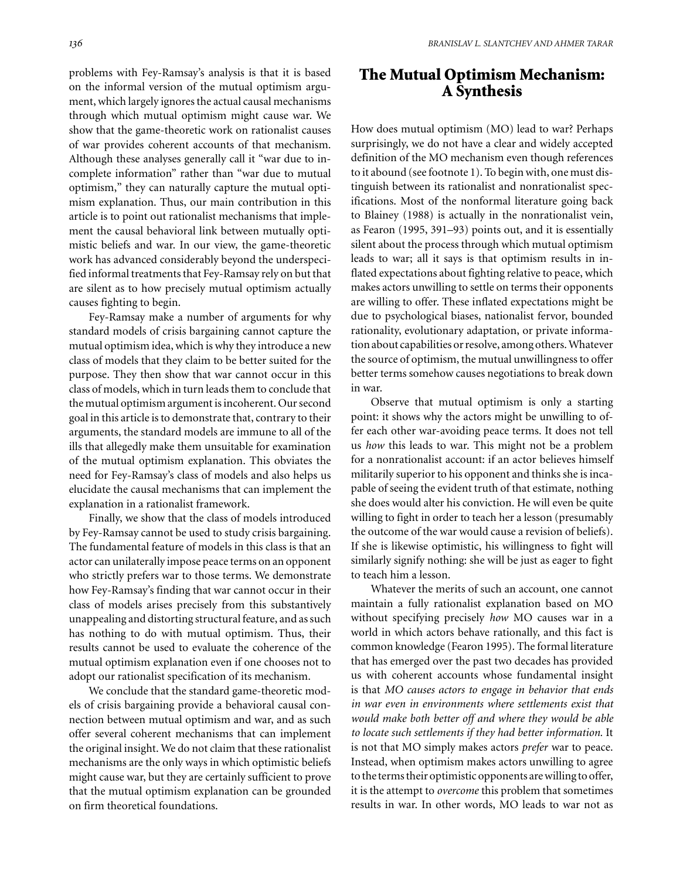problems with Fey-Ramsay's analysis is that it is based on the informal version of the mutual optimism argument, which largely ignores the actual causal mechanisms through which mutual optimism might cause war. We show that the game-theoretic work on rationalist causes of war provides coherent accounts of that mechanism. Although these analyses generally call it "war due to incomplete information" rather than "war due to mutual optimism," they can naturally capture the mutual optimism explanation. Thus, our main contribution in this article is to point out rationalist mechanisms that implement the causal behavioral link between mutually optimistic beliefs and war. In our view, the game-theoretic work has advanced considerably beyond the underspecified informal treatments that Fey-Ramsay rely on but that are silent as to how precisely mutual optimism actually causes fighting to begin.

Fey-Ramsay make a number of arguments for why standard models of crisis bargaining cannot capture the mutual optimism idea, which is why they introduce a new class of models that they claim to be better suited for the purpose. They then show that war cannot occur in this class of models, which in turn leads them to conclude that the mutual optimism argument is incoherent. Our second goal in this article is to demonstrate that, contrary to their arguments, the standard models are immune to all of the ills that allegedly make them unsuitable for examination of the mutual optimism explanation. This obviates the need for Fey-Ramsay's class of models and also helps us elucidate the causal mechanisms that can implement the explanation in a rationalist framework.

Finally, we show that the class of models introduced by Fey-Ramsay cannot be used to study crisis bargaining. The fundamental feature of models in this class is that an actor can unilaterally impose peace terms on an opponent who strictly prefers war to those terms. We demonstrate how Fey-Ramsay's finding that war cannot occur in their class of models arises precisely from this substantively unappealing and distorting structural feature, and as such has nothing to do with mutual optimism. Thus, their results cannot be used to evaluate the coherence of the mutual optimism explanation even if one chooses not to adopt our rationalist specification of its mechanism.

We conclude that the standard game-theoretic models of crisis bargaining provide a behavioral causal connection between mutual optimism and war, and as such offer several coherent mechanisms that can implement the original insight. We do not claim that these rationalist mechanisms are the only ways in which optimistic beliefs might cause war, but they are certainly sufficient to prove that the mutual optimism explanation can be grounded on firm theoretical foundations.

# **The Mutual Optimism Mechanism: A Synthesis**

How does mutual optimism (MO) lead to war? Perhaps surprisingly, we do not have a clear and widely accepted definition of the MO mechanism even though references to it abound (see footnote 1). To begin with, one must distinguish between its rationalist and nonrationalist specifications. Most of the nonformal literature going back to Blainey (1988) is actually in the nonrationalist vein, as Fearon (1995, 391–93) points out, and it is essentially silent about the process through which mutual optimism leads to war; all it says is that optimism results in inflated expectations about fighting relative to peace, which makes actors unwilling to settle on terms their opponents are willing to offer. These inflated expectations might be due to psychological biases, nationalist fervor, bounded rationality, evolutionary adaptation, or private information about capabilities or resolve, among others.Whatever the source of optimism, the mutual unwillingness to offer better terms somehow causes negotiations to break down in war.

Observe that mutual optimism is only a starting point: it shows why the actors might be unwilling to offer each other war-avoiding peace terms. It does not tell us *how* this leads to war. This might not be a problem for a nonrationalist account: if an actor believes himself militarily superior to his opponent and thinks she is incapable of seeing the evident truth of that estimate, nothing she does would alter his conviction. He will even be quite willing to fight in order to teach her a lesson (presumably the outcome of the war would cause a revision of beliefs). If she is likewise optimistic, his willingness to fight will similarly signify nothing: she will be just as eager to fight to teach him a lesson.

Whatever the merits of such an account, one cannot maintain a fully rationalist explanation based on MO without specifying precisely *how* MO causes war in a world in which actors behave rationally, and this fact is common knowledge (Fearon 1995). The formal literature that has emerged over the past two decades has provided us with coherent accounts whose fundamental insight is that *MO causes actors to engage in behavior that ends in war even in environments where settlements exist that would make both better off and where they would be able to locate such settlements if they had better information.* It is not that MO simply makes actors *prefer* war to peace. Instead, when optimism makes actors unwilling to agree to the terms their optimistic opponents arewilling to offer, it is the attempt to *overcome* this problem that sometimes results in war. In other words, MO leads to war not as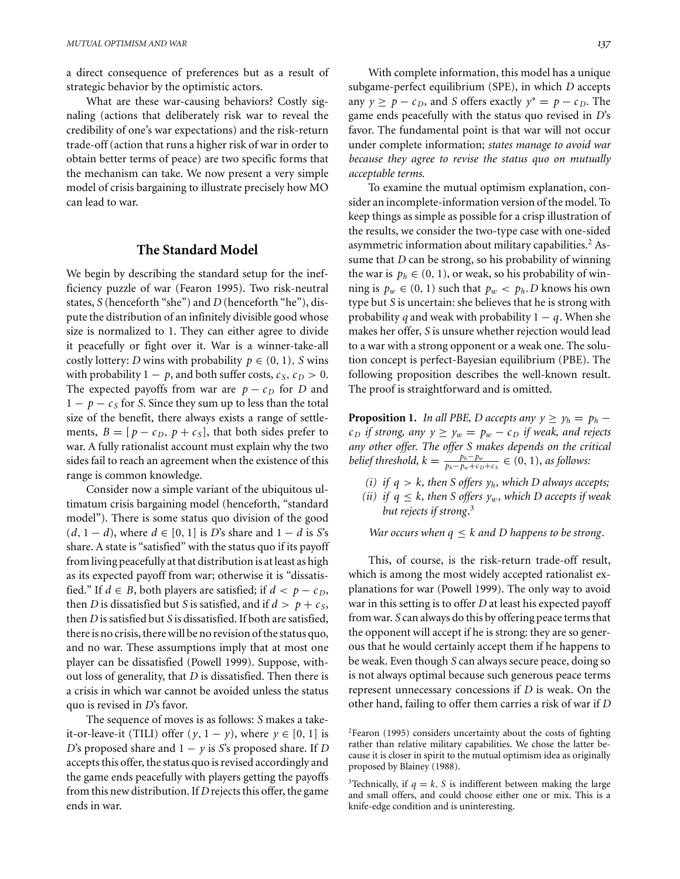a direct consequence of preferences but as a result of strategic behavior by the optimistic actors.

What are these war-causing behaviors? Costly signaling (actions that deliberately risk war to reveal the credibility of one's war expectations) and the risk-return trade-off (action that runs a higher risk of war in order to obtain better terms of peace) are two specific forms that the mechanism can take. We now present a very simple model of crisis bargaining to illustrate precisely how MO can lead to war.

#### **The Standard Model**

We begin by describing the standard setup for the inefficiency puzzle of war (Fearon 1995). Two risk-neutral states, *S* (henceforth "she") and *D* (henceforth "he"), dispute the distribution of an infinitely divisible good whose size is normalized to 1. They can either agree to divide it peacefully or fight over it. War is a winner-take-all costly lottery: *D* wins with probability  $p \in (0, 1)$ , *S* wins with probability  $1 - p$ , and both suffer costs,  $c_S$ ,  $c_D > 0$ . The expected payoffs from war are  $p - c_D$  for *D* and  $1 - p - c_s$  for *S*. Since they sum up to less than the total size of the benefit, there always exists a range of settlements,  $B = [p - c_D, p + c_S]$ , that both sides prefer to war. A fully rationalist account must explain why the two sides fail to reach an agreement when the existence of this range is common knowledge.

Consider now a simple variant of the ubiquitous ultimatum crisis bargaining model (henceforth, "standard model"). There is some status quo division of the good  $(d, 1 - d)$ , where  $d \in [0, 1]$  is *D*'s share and  $1 - d$  is *S*'s share. A state is "satisfied" with the status quo if its payoff from living peacefully at that distribution is at least as high as its expected payoff from war; otherwise it is "dissatisfied." If *d* ∈ *B*, both players are satisfied; if *d* < *p* −  $c_D$ , then *D* is dissatisfied but *S* is satisfied, and if  $d > p + c_s$ , then *D* is satisfied but *S* is dissatisfied. If both are satisfied, there is no crisis, there will be no revision of the status quo, and no war. These assumptions imply that at most one player can be dissatisfied (Powell 1999). Suppose, without loss of generality, that *D* is dissatisfied. Then there is a crisis in which war cannot be avoided unless the status quo is revised in *D*'s favor.

The sequence of moves is as follows: *S* makes a takeit-or-leave-it (TILI) offer  $(y, 1 - y)$ , where  $y \in [0, 1]$  is *D*'s proposed share and  $1 - y$  is *S*'s proposed share. If *D* accepts this offer, the status quo is revised accordingly and the game ends peacefully with players getting the payoffs from this new distribution. If *D* rejects this offer, the game ends in war.

With complete information, this model has a unique subgame-perfect equilibrium (SPE), in which *D* accepts any  $y \ge p - c_D$ , and *S* offers exactly  $y^* = p - c_D$ . The game ends peacefully with the status quo revised in *D*'s favor. The fundamental point is that war will not occur under complete information; *states manage to avoid war because they agree to revise the status quo on mutually acceptable terms.*

To examine the mutual optimism explanation, consider an incomplete-information version of the model. To keep things as simple as possible for a crisp illustration of the results, we consider the two-type case with one-sided asymmetric information about military capabilities.<sup>2</sup> Assume that *D* can be strong, so his probability of winning the war is  $p_h \in (0, 1)$ , or weak, so his probability of winning is  $p_w \in (0, 1)$  such that  $p_w < p_h$ . *D* knows his own type but *S* is uncertain: she believes that he is strong with probability *q* and weak with probability  $1 - q$ . When she makes her offer, *S* is unsure whether rejection would lead to a war with a strong opponent or a weak one. The solution concept is perfect-Bayesian equilibrium (PBE). The following proposition describes the well-known result. The proof is straightforward and is omitted.

**Proposition 1.** *In all PBE, D accepts any*  $y \ge y_h = p_h - p$  $c_D$  *if strong, any*  $y \ge y_w = p_w - c_D$  *if weak, and rejects any other offer. The offer S makes depends on the critical belief threshold, k* =  $\frac{p_h - p_w}{p_h - p_w + c_p + c_s}$  ∈ (0, 1), *as follows:* 

- *(i)* if  $q > k$ , then S offers  $y_h$ , which D always accepts;
- *(ii) if*  $q \leq k$ *, then S offers*  $y_w$ *, which D accepts if weak but rejects if strong*. 3

*War occurs when*  $q \leq k$  *and D happens to be strong.* 

This, of course, is the risk-return trade-off result, which is among the most widely accepted rationalist explanations for war (Powell 1999). The only way to avoid war in this setting is to offer *D* at least his expected payoff from war. *S* can always do this by offering peace terms that the opponent will accept if he is strong: they are so generous that he would certainly accept them if he happens to be weak. Even though *S* can always secure peace, doing so is not always optimal because such generous peace terms represent unnecessary concessions if *D* is weak. On the other hand, failing to offer them carries a risk of war if *D*

<sup>2</sup>Fearon (1995) considers uncertainty about the costs of fighting rather than relative military capabilities. We chose the latter because it is closer in spirit to the mutual optimism idea as originally proposed by Blainey (1988).

<sup>&</sup>lt;sup>3</sup>Technically, if  $q = k$ , *S* is indifferent between making the large and small offers, and could choose either one or mix. This is a knife-edge condition and is uninteresting.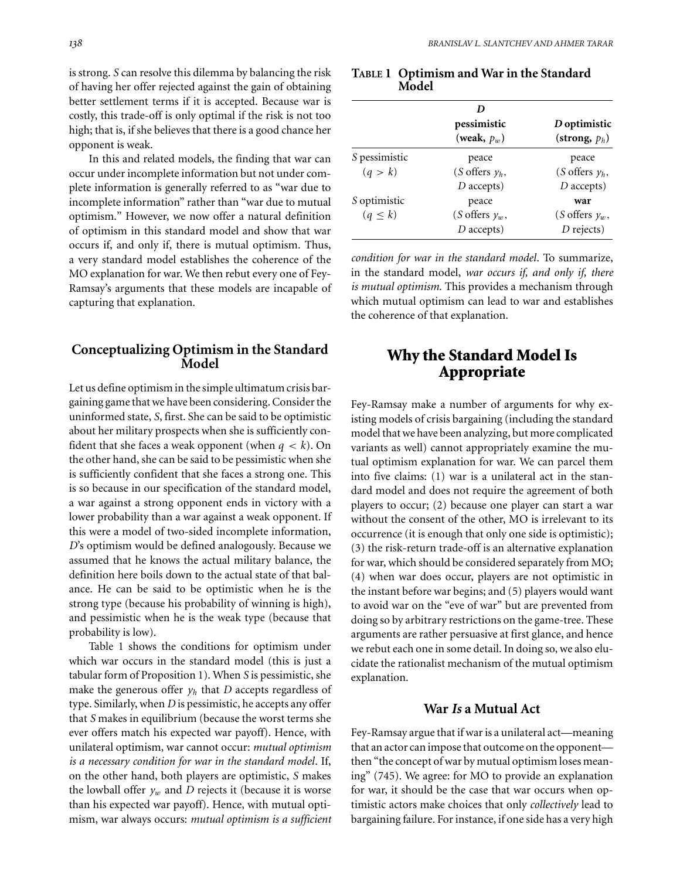is strong. *S* can resolve this dilemma by balancing the risk of having her offer rejected against the gain of obtaining better settlement terms if it is accepted. Because war is costly, this trade-off is only optimal if the risk is not too high; that is, if she believes that there is a good chance her opponent is weak.

In this and related models, the finding that war can occur under incomplete information but not under complete information is generally referred to as "war due to incomplete information" rather than "war due to mutual optimism." However, we now offer a natural definition of optimism in this standard model and show that war occurs if, and only if, there is mutual optimism. Thus, a very standard model establishes the coherence of the MO explanation for war. We then rebut every one of Fey-Ramsay's arguments that these models are incapable of capturing that explanation.

#### **Conceptualizing Optimism in the Standard Model**

Let us define optimism in the simple ultimatum crisis bargaining game that we have been considering. Consider the uninformed state, *S*, first. She can be said to be optimistic about her military prospects when she is sufficiently confident that she faces a weak opponent (when *q* < *k*). On the other hand, she can be said to be pessimistic when she is sufficiently confident that she faces a strong one. This is so because in our specification of the standard model, a war against a strong opponent ends in victory with a lower probability than a war against a weak opponent. If this were a model of two-sided incomplete information, *D*'s optimism would be defined analogously. Because we assumed that he knows the actual military balance, the definition here boils down to the actual state of that balance. He can be said to be optimistic when he is the strong type (because his probability of winning is high), and pessimistic when he is the weak type (because that probability is low).

Table 1 shows the conditions for optimism under which war occurs in the standard model (this is just a tabular form of Proposition 1). When *S* is pessimistic, she make the generous offer  $y_h$  that *D* accepts regardless of type. Similarly, when *D* is pessimistic, he accepts any offer that *S* makes in equilibrium (because the worst terms she ever offers match his expected war payoff). Hence, with unilateral optimism, war cannot occur: *mutual optimism is a necessary condition for war in the standard model*. If, on the other hand, both players are optimistic, *S* makes the lowball offer  $y_w$  and *D* rejects it (because it is worse than his expected war payoff). Hence, with mutual optimism, war always occurs: *mutual optimism is a sufficient*

|               | pessimistic<br>(weak, $p_w$ ) | D optimistic<br>(strong, $p_h$ ) |
|---------------|-------------------------------|----------------------------------|
| S pessimistic | peace                         | peace                            |
| (q > k)       | (S offers $y_h$ ,             | (S offers $y_h$ ,                |
|               | $D$ accepts)                  | $D$ accepts)                     |
| S optimistic  | peace                         | war                              |
| $(q \leq k)$  | (S offers $y_w$ ,             | (S offers $y_w$ ,                |
|               | $D$ accepts)                  | $D$ rejects)                     |

**TABLE 1 Optimism and War in the Standard**

**Model**

*condition for war in the standard model*. To summarize, in the standard model, *war occurs if, and only if, there is mutual optimism*. This provides a mechanism through which mutual optimism can lead to war and establishes the coherence of that explanation.

# **Why the Standard Model Is Appropriate**

Fey-Ramsay make a number of arguments for why existing models of crisis bargaining (including the standard model that we have been analyzing, but more complicated variants as well) cannot appropriately examine the mutual optimism explanation for war. We can parcel them into five claims: (1) war is a unilateral act in the standard model and does not require the agreement of both players to occur; (2) because one player can start a war without the consent of the other, MO is irrelevant to its occurrence (it is enough that only one side is optimistic); (3) the risk-return trade-off is an alternative explanation for war, which should be considered separately from MO; (4) when war does occur, players are not optimistic in the instant before war begins; and (5) players would want to avoid war on the "eve of war" but are prevented from doing so by arbitrary restrictions on the game-tree. These arguments are rather persuasive at first glance, and hence we rebut each one in some detail. In doing so, we also elucidate the rationalist mechanism of the mutual optimism explanation.

#### **War** *Is* **a Mutual Act**

Fey-Ramsay argue that if war is a unilateral act—meaning that an actor can impose that outcome on the opponent then "the concept of war by mutual optimism loses meaning" (745). We agree: for MO to provide an explanation for war, it should be the case that war occurs when optimistic actors make choices that only *collectively* lead to bargaining failure. For instance, if one side has a very high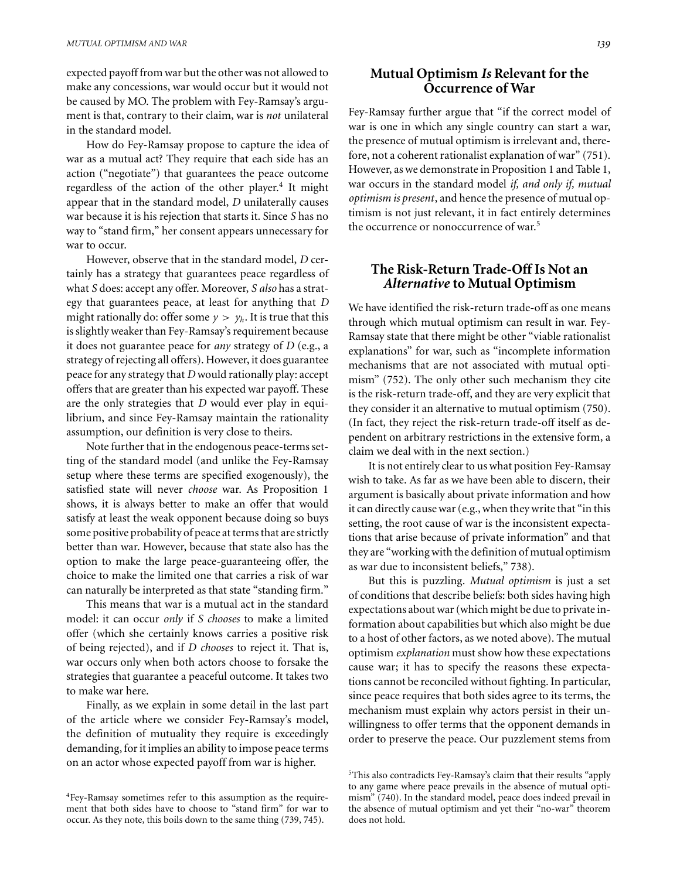expected payoff from war but the other was not allowed to make any concessions, war would occur but it would not be caused by MO. The problem with Fey-Ramsay's argument is that, contrary to their claim, war is *not* unilateral in the standard model.

How do Fey-Ramsay propose to capture the idea of war as a mutual act? They require that each side has an action ("negotiate") that guarantees the peace outcome regardless of the action of the other player.<sup>4</sup> It might appear that in the standard model, *D* unilaterally causes war because it is his rejection that starts it. Since *S* has no way to "stand firm," her consent appears unnecessary for war to occur.

However, observe that in the standard model, *D* certainly has a strategy that guarantees peace regardless of what *S* does: accept any offer. Moreover, *S also* has a strategy that guarantees peace, at least for anything that *D* might rationally do: offer some  $y > y_h$ . It is true that this is slightly weaker than Fey-Ramsay's requirement because it does not guarantee peace for *any* strategy of *D* (e.g., a strategy of rejecting all offers). However, it does guarantee peace for any strategy that *D* would rationally play: accept offers that are greater than his expected war payoff. These are the only strategies that *D* would ever play in equilibrium, and since Fey-Ramsay maintain the rationality assumption, our definition is very close to theirs.

Note further that in the endogenous peace-terms setting of the standard model (and unlike the Fey-Ramsay setup where these terms are specified exogenously), the satisfied state will never *choose* war. As Proposition 1 shows, it is always better to make an offer that would satisfy at least the weak opponent because doing so buys some positive probability of peace at terms that are strictly better than war. However, because that state also has the option to make the large peace-guaranteeing offer, the choice to make the limited one that carries a risk of war can naturally be interpreted as that state "standing firm."

This means that war is a mutual act in the standard model: it can occur *only* if *S chooses* to make a limited offer (which she certainly knows carries a positive risk of being rejected), and if *D chooses* to reject it. That is, war occurs only when both actors choose to forsake the strategies that guarantee a peaceful outcome. It takes two to make war here.

Finally, as we explain in some detail in the last part of the article where we consider Fey-Ramsay's model, the definition of mutuality they require is exceedingly demanding, for it implies an ability to impose peace terms on an actor whose expected payoff from war is higher.

## **Mutual Optimism** *Is* **Relevant for the Occurrence of War**

Fey-Ramsay further argue that "if the correct model of war is one in which any single country can start a war, the presence of mutual optimism is irrelevant and, therefore, not a coherent rationalist explanation of war" (751). However, as we demonstrate in Proposition 1 and Table 1, war occurs in the standard model *if, and only if, mutual optimism is present*, and hence the presence of mutual optimism is not just relevant, it in fact entirely determines the occurrence or nonoccurrence of war.<sup>5</sup>

## **The Risk-Return Trade-Off Is Not an** *Alternative* **to Mutual Optimism**

We have identified the risk-return trade-off as one means through which mutual optimism can result in war. Fey-Ramsay state that there might be other "viable rationalist explanations" for war, such as "incomplete information mechanisms that are not associated with mutual optimism" (752). The only other such mechanism they cite is the risk-return trade-off, and they are very explicit that they consider it an alternative to mutual optimism (750). (In fact, they reject the risk-return trade-off itself as dependent on arbitrary restrictions in the extensive form, a claim we deal with in the next section.)

It is not entirely clear to us what position Fey-Ramsay wish to take. As far as we have been able to discern, their argument is basically about private information and how it can directly cause war (e.g., when they write that "in this setting, the root cause of war is the inconsistent expectations that arise because of private information" and that they are "working with the definition of mutual optimism as war due to inconsistent beliefs," 738).

But this is puzzling. *Mutual optimism* is just a set of conditions that describe beliefs: both sides having high expectations about war (which might be due to private information about capabilities but which also might be due to a host of other factors, as we noted above). The mutual optimism *explanation* must show how these expectations cause war; it has to specify the reasons these expectations cannot be reconciled without fighting. In particular, since peace requires that both sides agree to its terms, the mechanism must explain why actors persist in their unwillingness to offer terms that the opponent demands in order to preserve the peace. Our puzzlement stems from

<sup>4</sup>Fey-Ramsay sometimes refer to this assumption as the requirement that both sides have to choose to "stand firm" for war to occur. As they note, this boils down to the same thing (739, 745).

<sup>5</sup>This also contradicts Fey-Ramsay's claim that their results "apply to any game where peace prevails in the absence of mutual optimism" (740). In the standard model, peace does indeed prevail in the absence of mutual optimism and yet their "no-war" theorem does not hold.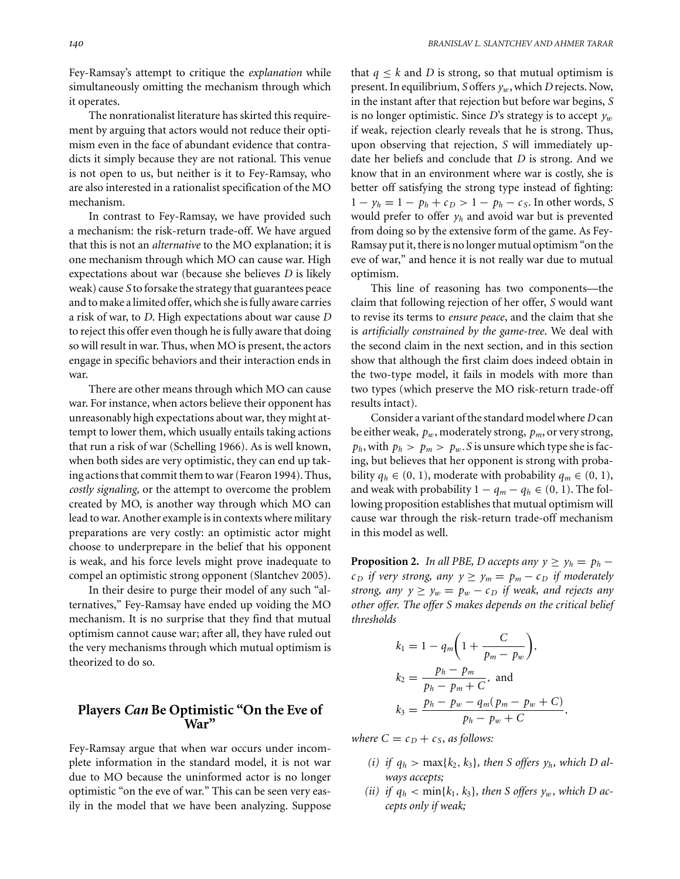Fey-Ramsay's attempt to critique the *explanation* while simultaneously omitting the mechanism through which it operates.

The nonrationalist literature has skirted this requirement by arguing that actors would not reduce their optimism even in the face of abundant evidence that contradicts it simply because they are not rational. This venue is not open to us, but neither is it to Fey-Ramsay, who are also interested in a rationalist specification of the MO mechanism.

In contrast to Fey-Ramsay, we have provided such a mechanism: the risk-return trade-off. We have argued that this is not an *alternative* to the MO explanation; it is one mechanism through which MO can cause war. High expectations about war (because she believes *D* is likely weak) cause *S* to forsake the strategy that guarantees peace and to make a limited offer, which she is fully aware carries a risk of war, to *D*. High expectations about war cause *D* to reject this offer even though he is fully aware that doing so will result in war. Thus, when MO is present, the actors engage in specific behaviors and their interaction ends in war.

There are other means through which MO can cause war. For instance, when actors believe their opponent has unreasonably high expectations about war, they might attempt to lower them, which usually entails taking actions that run a risk of war (Schelling 1966). As is well known, when both sides are very optimistic, they can end up taking actions that commit them to war (Fearon 1994). Thus, *costly signaling,* or the attempt to overcome the problem created by MO, is another way through which MO can lead to war. Another example is in contexts where military preparations are very costly: an optimistic actor might choose to underprepare in the belief that his opponent is weak, and his force levels might prove inadequate to compel an optimistic strong opponent (Slantchev 2005).

In their desire to purge their model of any such "alternatives," Fey-Ramsay have ended up voiding the MO mechanism. It is no surprise that they find that mutual optimism cannot cause war; after all, they have ruled out the very mechanisms through which mutual optimism is theorized to do so.

## **Players** *Can* **Be Optimistic "On the Eve of War"**

Fey-Ramsay argue that when war occurs under incomplete information in the standard model, it is not war due to MO because the uninformed actor is no longer optimistic "on the eve of war." This can be seen very easily in the model that we have been analyzing. Suppose that  $q \leq k$  and *D* is strong, so that mutual optimism is present. In equilibrium, *S* offers  $y_w$ , which *D* rejects. Now, in the instant after that rejection but before war begins, *S* is no longer optimistic. Since  $D$ 's strategy is to accept  $y_w$ if weak, rejection clearly reveals that he is strong. Thus, upon observing that rejection, *S* will immediately update her beliefs and conclude that *D* is strong. And we know that in an environment where war is costly, she is better off satisfying the strong type instead of fighting: 1 −  $y_h$  = 1 −  $p_h$  +  $c_D$  > 1 −  $p_h$  −  $c_S$ . In other words, *S* would prefer to offer *yh* and avoid war but is prevented from doing so by the extensive form of the game. As Fey-Ramsay put it, there is no longer mutual optimism "on the eve of war," and hence it is not really war due to mutual optimism.

This line of reasoning has two components—the claim that following rejection of her offer, *S* would want to revise its terms to *ensure peace*, and the claim that she is *artificially constrained by the game-tree*. We deal with the second claim in the next section, and in this section show that although the first claim does indeed obtain in the two-type model, it fails in models with more than two types (which preserve the MO risk-return trade-off results intact).

Consider a variant of the standard model where *D* can be either weak,  $p_w$ , moderately strong,  $p_m$ , or very strong,  $p_h$ , with  $p_h > p_m > p_w$ . *S* is unsure which type she is facing, but believes that her opponent is strong with probability  $q_h \in (0, 1)$ , moderate with probability  $q_m \in (0, 1)$ , and weak with probability  $1 - q_m - q_h \in (0, 1)$ . The following proposition establishes that mutual optimism will cause war through the risk-return trade-off mechanism in this model as well.

**Proposition 2.** *In all PBE, D accepts any*  $y \ge y_h = p_h - p$ *c*<sub>D</sub> if very strong, any  $y \ge y_m = p_m - c_D$  if moderately *strong, any*  $y \ge y_w = p_w - c_D$  *if weak, and rejects any other offer. The offer S makes depends on the critical belief thresholds*

$$
k_1 = 1 - q_m \left( 1 + \frac{C}{p_m - p_w} \right),
$$
  
\n
$$
k_2 = \frac{p_h - p_m}{p_h - p_m + C}, \text{ and}
$$
  
\n
$$
k_3 = \frac{p_h - p_w - q_m(p_m - p_w + C)}{p_h - p_w + C},
$$

*where*  $C = c_D + c_S$ *, as follows:* 

- (*i*) if  $q_h$  > max{ $k_2$ ,  $k_3$ }, then S offers  $y_h$ , which D al*ways accepts;*
- (*ii*) *if*  $q_h < \min\{k_1, k_3\}$ , then S offers  $y_w$ , which D ac*cepts only if weak;*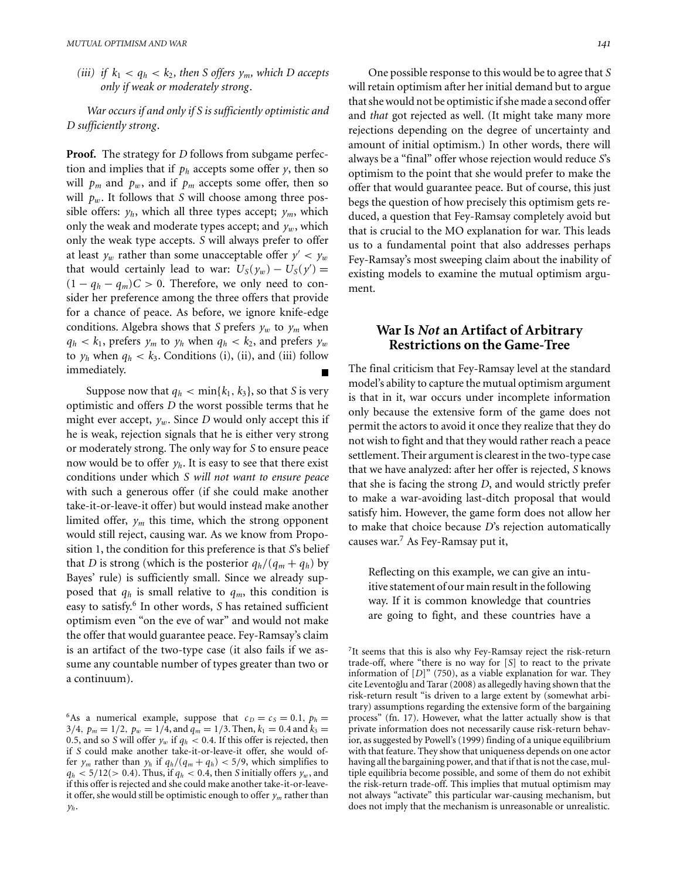*(iii) if*  $k_1 < q_h < k_2$ *, then S offers*  $y_m$ *, which D accepts only if weak or moderately strong*.

*War occurs if and only if S is sufficiently optimistic and D sufficiently strong*.

**Proof.** The strategy for *D* follows from subgame perfection and implies that if  $p_h$  accepts some offer *y*, then so will  $p_m$  and  $p_w$ , and if  $p_m$  accepts some offer, then so will  $p_w$ . It follows that *S* will choose among three possible offers:  $y_h$ , which all three types accept;  $y_m$ , which only the weak and moderate types accept; and  $y_w$ , which only the weak type accepts. *S* will always prefer to offer at least  $y_w$  rather than some unacceptable offer  $y' < y_w$ that would certainly lead to war:  $U_S(y_w) - U_S(y') =$  $(1 - q_h - q_m)C > 0$ . Therefore, we only need to consider her preference among the three offers that provide for a chance of peace. As before, we ignore knife-edge conditions. Algebra shows that *S* prefers  $y_w$  to  $y_m$  when  $q_h < k_1$ , prefers  $y_m$  to  $y_h$  when  $q_h < k_2$ , and prefers  $y_w$ to  $y_h$  when  $q_h < k_3$ . Conditions (i), (ii), and (iii) follow immediately.

Suppose now that  $q_h < \min\{k_1, k_3\}$ , so that *S* is very optimistic and offers *D* the worst possible terms that he might ever accept,  $y_w$ . Since *D* would only accept this if he is weak, rejection signals that he is either very strong or moderately strong. The only way for *S* to ensure peace now would be to offer  $y_h$ . It is easy to see that there exist conditions under which *S will not want to ensure peace* with such a generous offer (if she could make another take-it-or-leave-it offer) but would instead make another limited offer,  $y_m$  this time, which the strong opponent would still reject, causing war. As we know from Proposition 1, the condition for this preference is that *S*'s belief that *D* is strong (which is the posterior  $q_h/(q_m + q_h)$  by Bayes' rule) is sufficiently small. Since we already supposed that  $q_h$  is small relative to  $q_m$ , this condition is easy to satisfy.<sup>6</sup> In other words, *S* has retained sufficient optimism even "on the eve of war" and would not make the offer that would guarantee peace. Fey-Ramsay's claim is an artifact of the two-type case (it also fails if we assume any countable number of types greater than two or a continuum).

One possible response to this would be to agree that *S* will retain optimism after her initial demand but to argue that she would not be optimistic if she made a second offer and *that* got rejected as well. (It might take many more rejections depending on the degree of uncertainty and amount of initial optimism.) In other words, there will always be a "final" offer whose rejection would reduce *S*'s optimism to the point that she would prefer to make the offer that would guarantee peace. But of course, this just begs the question of how precisely this optimism gets reduced, a question that Fey-Ramsay completely avoid but that is crucial to the MO explanation for war. This leads us to a fundamental point that also addresses perhaps Fey-Ramsay's most sweeping claim about the inability of existing models to examine the mutual optimism argument.

## **War Is** *Not* **an Artifact of Arbitrary Restrictions on the Game-Tree**

The final criticism that Fey-Ramsay level at the standard model's ability to capture the mutual optimism argument is that in it, war occurs under incomplete information only because the extensive form of the game does not permit the actors to avoid it once they realize that they do not wish to fight and that they would rather reach a peace settlement. Their argument is clearest in the two-type case that we have analyzed: after her offer is rejected, *S* knows that she is facing the strong *D*, and would strictly prefer to make a war-avoiding last-ditch proposal that would satisfy him. However, the game form does not allow her to make that choice because *D*'s rejection automatically causes war.<sup>7</sup> As Fey-Ramsay put it,

Reflecting on this example, we can give an intuitive statement of our main result in the following way. If it is common knowledge that countries are going to fight, and these countries have a

<sup>&</sup>lt;sup>6</sup>As a numerical example, suppose that  $c_D = c_S = 0.1$ ,  $p_h =$ 3/4,  $p_m = 1/2$ ,  $p_w = 1/4$ , and  $q_m = 1/3$ . Then,  $k_1 = 0.4$  and  $k_3 =$ 0.5, and so *S* will offer  $y_w$  if  $q_h < 0.4$ . If this offer is rejected, then if *S* could make another take-it-or-leave-it offer, she would offer  $y_m$  rather than  $y_h$  if  $q_h/(q_m + q_h) < 5/9$ , which simplifies to  $q_h$  < 5/12(> 0.4). Thus, if  $q_h$  < 0.4, then *S* initially offers  $y_w$ , and if this offer is rejected and she could make another take-it-or-leaveit offer, she would still be optimistic enough to offer  $y_m$  rather than  $y_h$ .

<sup>&</sup>lt;sup>7</sup>It seems that this is also why Fey-Ramsay reject the risk-return trade-off, where "there is no way for [*S*] to react to the private information of [*D*]" (750), as a viable explanation for war. They cite Leventoğlu and Tarar (2008) as allegedly having shown that the risk-return result "is driven to a large extent by (somewhat arbitrary) assumptions regarding the extensive form of the bargaining process" (fn. 17). However, what the latter actually show is that private information does not necessarily cause risk-return behavior, as suggested by Powell's (1999) finding of a unique equilibrium with that feature. They show that uniqueness depends on one actor having all the bargaining power, and that if that is not the case, multiple equilibria become possible, and some of them do not exhibit the risk-return trade-off. This implies that mutual optimism may not always "activate" this particular war-causing mechanism, but does not imply that the mechanism is unreasonable or unrealistic.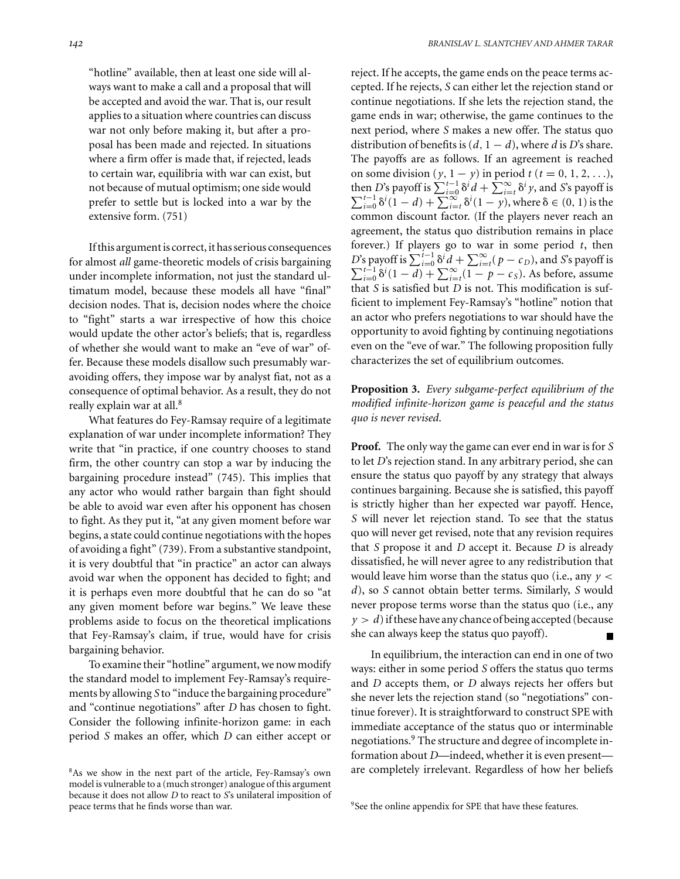"hotline" available, then at least one side will always want to make a call and a proposal that will be accepted and avoid the war. That is, our result applies to a situation where countries can discuss war not only before making it, but after a proposal has been made and rejected. In situations where a firm offer is made that, if rejected, leads to certain war, equilibria with war can exist, but not because of mutual optimism; one side would prefer to settle but is locked into a war by the extensive form. (751)

If this argument is correct, it has serious consequences for almost *all* game-theoretic models of crisis bargaining under incomplete information, not just the standard ultimatum model, because these models all have "final" decision nodes. That is, decision nodes where the choice to "fight" starts a war irrespective of how this choice would update the other actor's beliefs; that is, regardless of whether she would want to make an "eve of war" offer. Because these models disallow such presumably waravoiding offers, they impose war by analyst fiat, not as a consequence of optimal behavior. As a result, they do not really explain war at all.<sup>8</sup>

What features do Fey-Ramsay require of a legitimate explanation of war under incomplete information? They write that "in practice, if one country chooses to stand firm, the other country can stop a war by inducing the bargaining procedure instead" (745). This implies that any actor who would rather bargain than fight should be able to avoid war even after his opponent has chosen to fight. As they put it, "at any given moment before war begins, a state could continue negotiations with the hopes of avoiding a fight" (739). From a substantive standpoint, it is very doubtful that "in practice" an actor can always avoid war when the opponent has decided to fight; and it is perhaps even more doubtful that he can do so "at any given moment before war begins." We leave these problems aside to focus on the theoretical implications that Fey-Ramsay's claim, if true, would have for crisis bargaining behavior.

To examine their "hotline" argument, we now modify the standard model to implement Fey-Ramsay's requirements by allowing *S* to "induce the bargaining procedure" and "continue negotiations" after *D* has chosen to fight. Consider the following infinite-horizon game: in each period *S* makes an offer, which *D* can either accept or

reject. If he accepts, the game ends on the peace terms accepted. If he rejects, *S* can either let the rejection stand or continue negotiations. If she lets the rejection stand, the game ends in war; otherwise, the game continues to the next period, where *S* makes a new offer. The status quo distribution of benefits is  $(d, 1 - d)$ , where *d* is *D*'s share. The payoffs are as follows. If an agreement is reached on some division  $(y, 1 - y)$  in period  $t$  ( $t = 0, 1, 2, ...$ ), then *D*'s payoff is  $\sum_{i=0}^{t-1} \delta^i d + \sum_{i=0}^{\infty} \delta^i y$ , and *S*'s payoff is  $\sum_{i=1}^{t-1} \delta^i (1-y)$  where  $\delta \in (0, 1)$  is the  $\sum_{i=0}^{t-1} \delta^{i} (1-d) + \sum_{i=t}^{\infty} \delta^{i} (1-y)$ , where  $\delta \in (0, 1)$  is the common discount factor. (If the players never reach an agreement, the status quo distribution remains in place forever.) If players go to war in some period *t*, then *D*'s payoff is  $\sum_{i=0}^{i-1} \delta^{i} d + \sum_{i=t}^{\infty} (p - c_D)$ , and *S*'s payoff is  $\sum_{i=0}^{t-1} \delta^{i} (1 - d) + \sum_{i=t}^{\infty} (1 - p - c_s)$ . As before, assume that *S* is satisfied but *D* is not. This modification is sufficient to implement Fey-Ramsay's "hotline" notion that an actor who prefers negotiations to war should have the opportunity to avoid fighting by continuing negotiations even on the "eve of war." The following proposition fully characterizes the set of equilibrium outcomes.

**Proposition 3.** *Every subgame-perfect equilibrium of the modified infinite-horizon game is peaceful and the status quo is never revised*.

**Proof.** The only way the game can ever end in war is for *S* to let *D*'s rejection stand. In any arbitrary period, she can ensure the status quo payoff by any strategy that always continues bargaining. Because she is satisfied, this payoff is strictly higher than her expected war payoff. Hence, *S* will never let rejection stand. To see that the status quo will never get revised, note that any revision requires that *S* propose it and *D* accept it. Because *D* is already dissatisfied, he will never agree to any redistribution that would leave him worse than the status quo (i.e., any *y* < *d*), so *S* cannot obtain better terms. Similarly, *S* would never propose terms worse than the status quo (i.e., any  $y > d$ ) if these have any chance of being accepted (because she can always keep the status quo payoff).

In equilibrium, the interaction can end in one of two ways: either in some period *S* offers the status quo terms and *D* accepts them, or *D* always rejects her offers but she never lets the rejection stand (so "negotiations" continue forever). It is straightforward to construct SPE with immediate acceptance of the status quo or interminable negotiations.<sup>9</sup> The structure and degree of incomplete information about *D*—indeed, whether it is even present are completely irrelevant. Regardless of how her beliefs

<sup>8</sup>As we show in the next part of the article, Fey-Ramsay's own model is vulnerable to a (much stronger) analogue of this argument because it does not allow *D* to react to *S*'s unilateral imposition of peace terms that he finds worse than war.

<sup>&</sup>lt;sup>9</sup>See the online appendix for SPE that have these features.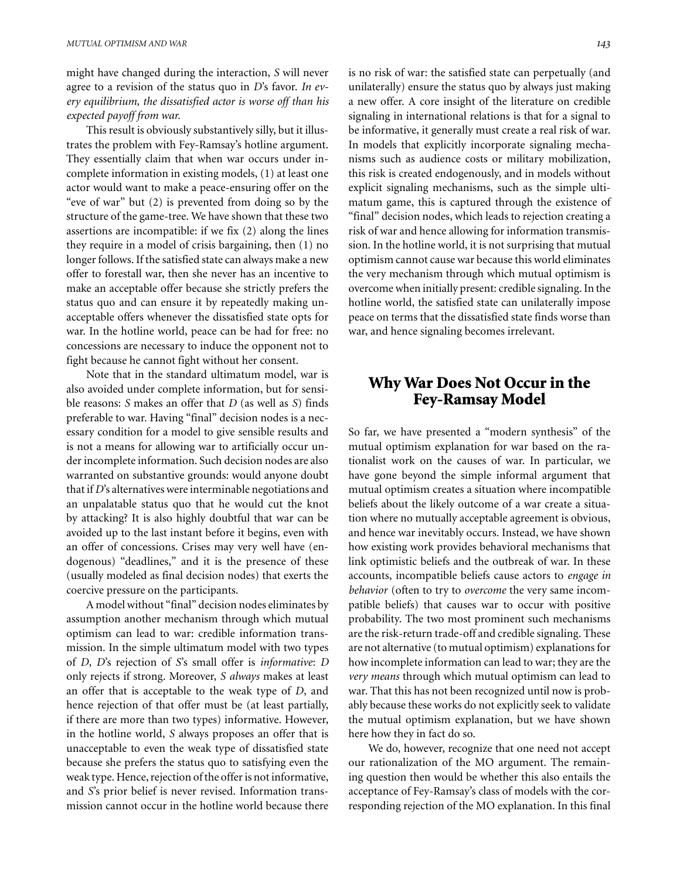might have changed during the interaction, *S* will never agree to a revision of the status quo in *D*'s favor. *In every equilibrium, the dissatisfied actor is worse off than his expected payoff from war.*

This result is obviously substantively silly, but it illustrates the problem with Fey-Ramsay's hotline argument. They essentially claim that when war occurs under incomplete information in existing models, (1) at least one actor would want to make a peace-ensuring offer on the "eve of war" but (2) is prevented from doing so by the structure of the game-tree. We have shown that these two assertions are incompatible: if we fix (2) along the lines they require in a model of crisis bargaining, then (1) no longer follows. If the satisfied state can always make a new offer to forestall war, then she never has an incentive to make an acceptable offer because she strictly prefers the status quo and can ensure it by repeatedly making unacceptable offers whenever the dissatisfied state opts for war. In the hotline world, peace can be had for free: no concessions are necessary to induce the opponent not to fight because he cannot fight without her consent.

Note that in the standard ultimatum model, war is also avoided under complete information, but for sensible reasons: *S* makes an offer that *D* (as well as *S*) finds preferable to war. Having "final" decision nodes is a necessary condition for a model to give sensible results and is not a means for allowing war to artificially occur under incomplete information. Such decision nodes are also warranted on substantive grounds: would anyone doubt that if *D*'s alternatives were interminable negotiations and an unpalatable status quo that he would cut the knot by attacking? It is also highly doubtful that war can be avoided up to the last instant before it begins, even with an offer of concessions. Crises may very well have (endogenous) "deadlines," and it is the presence of these (usually modeled as final decision nodes) that exerts the coercive pressure on the participants.

A model without "final" decision nodes eliminates by assumption another mechanism through which mutual optimism can lead to war: credible information transmission. In the simple ultimatum model with two types of *D*, *D*'s rejection of *S*'s small offer is *informative*: *D* only rejects if strong. Moreover, *S always* makes at least an offer that is acceptable to the weak type of *D*, and hence rejection of that offer must be (at least partially, if there are more than two types) informative. However, in the hotline world, *S* always proposes an offer that is unacceptable to even the weak type of dissatisfied state because she prefers the status quo to satisfying even the weak type. Hence, rejection of the offer is not informative, and *S*'s prior belief is never revised. Information transmission cannot occur in the hotline world because there

is no risk of war: the satisfied state can perpetually (and unilaterally) ensure the status quo by always just making a new offer. A core insight of the literature on credible signaling in international relations is that for a signal to be informative, it generally must create a real risk of war. In models that explicitly incorporate signaling mechanisms such as audience costs or military mobilization, this risk is created endogenously, and in models without explicit signaling mechanisms, such as the simple ultimatum game, this is captured through the existence of "final" decision nodes, which leads to rejection creating a risk of war and hence allowing for information transmission. In the hotline world, it is not surprising that mutual optimism cannot cause war because this world eliminates the very mechanism through which mutual optimism is overcome when initially present: credible signaling. In the hotline world, the satisfied state can unilaterally impose peace on terms that the dissatisfied state finds worse than war, and hence signaling becomes irrelevant.

# **Why War Does Not Occur in the Fey-Ramsay Model**

So far, we have presented a "modern synthesis" of the mutual optimism explanation for war based on the rationalist work on the causes of war. In particular, we have gone beyond the simple informal argument that mutual optimism creates a situation where incompatible beliefs about the likely outcome of a war create a situation where no mutually acceptable agreement is obvious, and hence war inevitably occurs. Instead, we have shown how existing work provides behavioral mechanisms that link optimistic beliefs and the outbreak of war. In these accounts, incompatible beliefs cause actors to *engage in behavior* (often to try to *overcome* the very same incompatible beliefs) that causes war to occur with positive probability. The two most prominent such mechanisms are the risk-return trade-off and credible signaling. These are not alternative (to mutual optimism) explanations for how incomplete information can lead to war; they are the *very means* through which mutual optimism can lead to war. That this has not been recognized until now is probably because these works do not explicitly seek to validate the mutual optimism explanation, but we have shown here how they in fact do so.

We do, however, recognize that one need not accept our rationalization of the MO argument. The remaining question then would be whether this also entails the acceptance of Fey-Ramsay's class of models with the corresponding rejection of the MO explanation. In this final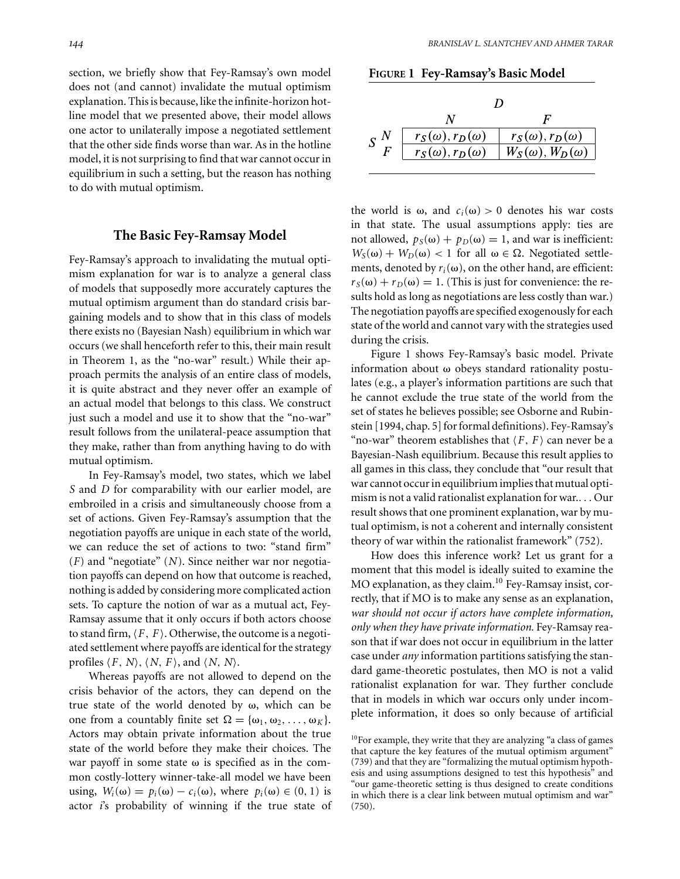section, we briefly show that Fey-Ramsay's own model does not (and cannot) invalidate the mutual optimism explanation. This is because, like the infinite-horizon hotline model that we presented above, their model allows one actor to unilaterally impose a negotiated settlement that the other side finds worse than war. As in the hotline model, it is not surprising to find that war cannot occur in equilibrium in such a setting, but the reason has nothing to do with mutual optimism.

#### **The Basic Fey-Ramsay Model**

Fey-Ramsay's approach to invalidating the mutual optimism explanation for war is to analyze a general class of models that supposedly more accurately captures the mutual optimism argument than do standard crisis bargaining models and to show that in this class of models there exists no (Bayesian Nash) equilibrium in which war occurs (we shall henceforth refer to this, their main result in Theorem 1, as the "no-war" result.) While their approach permits the analysis of an entire class of models, it is quite abstract and they never offer an example of an actual model that belongs to this class. We construct just such a model and use it to show that the "no-war" result follows from the unilateral-peace assumption that they make, rather than from anything having to do with mutual optimism.

In Fey-Ramsay's model, two states, which we label *S* and *D* for comparability with our earlier model, are embroiled in a crisis and simultaneously choose from a set of actions. Given Fey-Ramsay's assumption that the negotiation payoffs are unique in each state of the world, we can reduce the set of actions to two: "stand firm" (*F*) and "negotiate" (*N*). Since neither war nor negotiation payoffs can depend on how that outcome is reached, nothing is added by considering more complicated action sets. To capture the notion of war as a mutual act, Fey-Ramsay assume that it only occurs if both actors choose to stand firm,  $\langle F, F \rangle$ . Otherwise, the outcome is a negotiated settlement where payoffs are identical for the strategy profiles  $\langle F, N \rangle$ ,  $\langle N, F \rangle$ , and  $\langle N, N \rangle$ .

Whereas payoffs are not allowed to depend on the crisis behavior of the actors, they can depend on the true state of the world denoted by  $\omega$ , which can be one from a countably finite set  $\Omega = {\omega_1, \omega_2, ..., \omega_K}.$ Actors may obtain private information about the true state of the world before they make their choices. The war payoff in some state  $\omega$  is specified as in the common costly-lottery winner-take-all model we have been using,  $W_i(\omega) = p_i(\omega) - c_i(\omega)$ , where  $p_i(\omega) \in (0, 1)$  is actor *i*'s probability of winning if the true state of

#### **FIGURE 1 Fey-Ramsay's Basic Model**



the world is  $\omega$ , and  $c_i(\omega) > 0$  denotes his war costs in that state. The usual assumptions apply: ties are not allowed,  $p_S(\omega) + p_D(\omega) = 1$ , and war is inefficient:  $W_S(\omega) + W_D(\omega) < 1$  for all  $\omega \in \Omega$ . Negotiated settlements, denoted by  $r_i(\omega)$ , on the other hand, are efficient:  $r_S(\omega) + r_D(\omega) = 1$ . (This is just for convenience: the results hold as long as negotiations are less costly than war.) The negotiation payoffs are specified exogenously for each state of the world and cannot vary with the strategies used during the crisis.

Figure 1 shows Fey-Ramsay's basic model. Private information about  $\omega$  obeys standard rationality postulates (e.g., a player's information partitions are such that he cannot exclude the true state of the world from the set of states he believes possible; see Osborne and Rubinstein [1994, chap. 5] for formal definitions). Fey-Ramsay's "no-war" theorem establishes that  $\langle F, F \rangle$  can never be a Bayesian-Nash equilibrium. Because this result applies to all games in this class, they conclude that "our result that war cannot occur in equilibrium implies that mutual optimism is not a valid rationalist explanation for war.... Our result shows that one prominent explanation, war by mutual optimism, is not a coherent and internally consistent theory of war within the rationalist framework" (752).

How does this inference work? Let us grant for a moment that this model is ideally suited to examine the MO explanation, as they claim.<sup>10</sup> Fey-Ramsay insist, correctly, that if MO is to make any sense as an explanation, *war should not occur if actors have complete information, only when they have private information.* Fey-Ramsay reason that if war does not occur in equilibrium in the latter case under *any* information partitions satisfying the standard game-theoretic postulates, then MO is not a valid rationalist explanation for war. They further conclude that in models in which war occurs only under incomplete information, it does so only because of artificial

<sup>&</sup>lt;sup>10</sup>For example, they write that they are analyzing "a class of games that capture the key features of the mutual optimism argument" (739) and that they are "formalizing the mutual optimism hypothesis and using assumptions designed to test this hypothesis" and "our game-theoretic setting is thus designed to create conditions in which there is a clear link between mutual optimism and war" (750).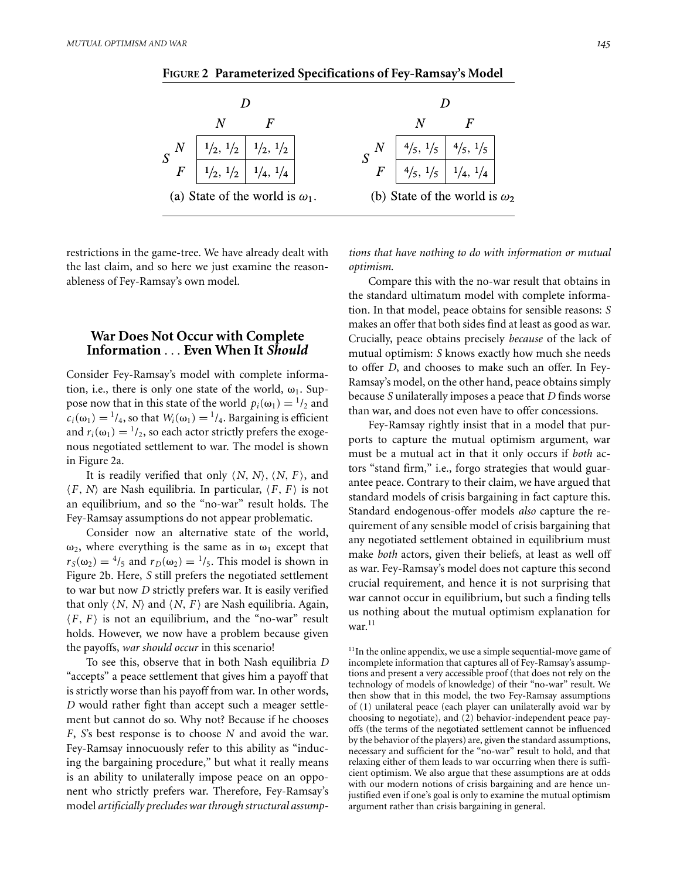|                                        | N |                                                                                                | $N_{\rm c}$ |                                                                                                                                                         |  |
|----------------------------------------|---|------------------------------------------------------------------------------------------------|-------------|---------------------------------------------------------------------------------------------------------------------------------------------------------|--|
|                                        |   |                                                                                                |             |                                                                                                                                                         |  |
|                                        |   | $S \begin{array}{c c c} N & 1/2, 1/2 & 1/2, 1/2 \\ \hline F & 1/2, 1/2 & 1/4, 1/4 \end{array}$ |             | $S \begin{array}{c c c} N & \frac{4}{5}, \frac{1}{5} & \frac{4}{5}, \frac{1}{5} \\ F & \frac{4}{5}, \frac{1}{5} & \frac{1}{4}, \frac{1}{4} \end{array}$ |  |
| (a) State of the world is $\omega_1$ . |   | (b) State of the world is $\omega_2$                                                           |             |                                                                                                                                                         |  |

**FIGURE 2 Parameterized Specifications of Fey-Ramsay's Model**

restrictions in the game-tree. We have already dealt with the last claim, and so here we just examine the reasonableness of Fey-Ramsay's own model.

## **War Does Not Occur with Complete Information** ... **Even When It** *Should*

Consider Fey-Ramsay's model with complete information, i.e., there is only one state of the world,  $\omega_1$ . Suppose now that in this state of the world  $p_i(\omega_1) = \frac{1}{2}$  and  $c_i(\omega_1) = \frac{1}{4}$ , so that  $W_i(\omega_1) = \frac{1}{4}$ . Bargaining is efficient and  $r_i(\omega_1) = \frac{1}{2}$ , so each actor strictly prefers the exogenous negotiated settlement to war. The model is shown in Figure 2a.

It is readily verified that only  $\langle N, N \rangle$ ,  $\langle N, F \rangle$ , and  $\langle F, N \rangle$  are Nash equilibria. In particular,  $\langle F, F \rangle$  is not an equilibrium, and so the "no-war" result holds. The Fey-Ramsay assumptions do not appear problematic.

Consider now an alternative state of the world,  $\omega_2$ , where everything is the same as in  $\omega_1$  except that  $r_S(\omega_2) = {}^4\prime_5$  and  $r_D(\omega_2) = {}^1\prime_5$ . This model is shown in Figure 2b. Here, *S* still prefers the negotiated settlement to war but now *D* strictly prefers war. It is easily verified that only  $\langle N, N \rangle$  and  $\langle N, F \rangle$  are Nash equilibria. Again,  $\langle F, F \rangle$  is not an equilibrium, and the "no-war" result holds. However, we now have a problem because given the payoffs, *war should occur* in this scenario!

To see this, observe that in both Nash equilibria *D* "accepts" a peace settlement that gives him a payoff that is strictly worse than his payoff from war. In other words, *D* would rather fight than accept such a meager settlement but cannot do so. Why not? Because if he chooses *F*, *S*'s best response is to choose *N* and avoid the war. Fey-Ramsay innocuously refer to this ability as "inducing the bargaining procedure," but what it really means is an ability to unilaterally impose peace on an opponent who strictly prefers war. Therefore, Fey-Ramsay's model *artificially precludes war through structural assump-* *tions that have nothing to do with information or mutual optimism*.

Compare this with the no-war result that obtains in the standard ultimatum model with complete information. In that model, peace obtains for sensible reasons: *S* makes an offer that both sides find at least as good as war. Crucially, peace obtains precisely *because* of the lack of mutual optimism: *S* knows exactly how much she needs to offer *D*, and chooses to make such an offer. In Fey-Ramsay's model, on the other hand, peace obtains simply because *S* unilaterally imposes a peace that *D* finds worse than war, and does not even have to offer concessions.

Fey-Ramsay rightly insist that in a model that purports to capture the mutual optimism argument, war must be a mutual act in that it only occurs if *both* actors "stand firm," i.e., forgo strategies that would guarantee peace. Contrary to their claim, we have argued that standard models of crisis bargaining in fact capture this. Standard endogenous-offer models *also* capture the requirement of any sensible model of crisis bargaining that any negotiated settlement obtained in equilibrium must make *both* actors, given their beliefs, at least as well off as war. Fey-Ramsay's model does not capture this second crucial requirement, and hence it is not surprising that war cannot occur in equilibrium, but such a finding tells us nothing about the mutual optimism explanation for war.<sup>11</sup>

 $11$ In the online appendix, we use a simple sequential-move game of incomplete information that captures all of Fey-Ramsay's assumptions and present a very accessible proof (that does not rely on the technology of models of knowledge) of their "no-war" result. We then show that in this model, the two Fey-Ramsay assumptions of (1) unilateral peace (each player can unilaterally avoid war by choosing to negotiate), and (2) behavior-independent peace payoffs (the terms of the negotiated settlement cannot be influenced by the behavior of the players) are, given the standard assumptions, necessary and sufficient for the "no-war" result to hold, and that relaxing either of them leads to war occurring when there is sufficient optimism. We also argue that these assumptions are at odds with our modern notions of crisis bargaining and are hence unjustified even if one's goal is only to examine the mutual optimism argument rather than crisis bargaining in general.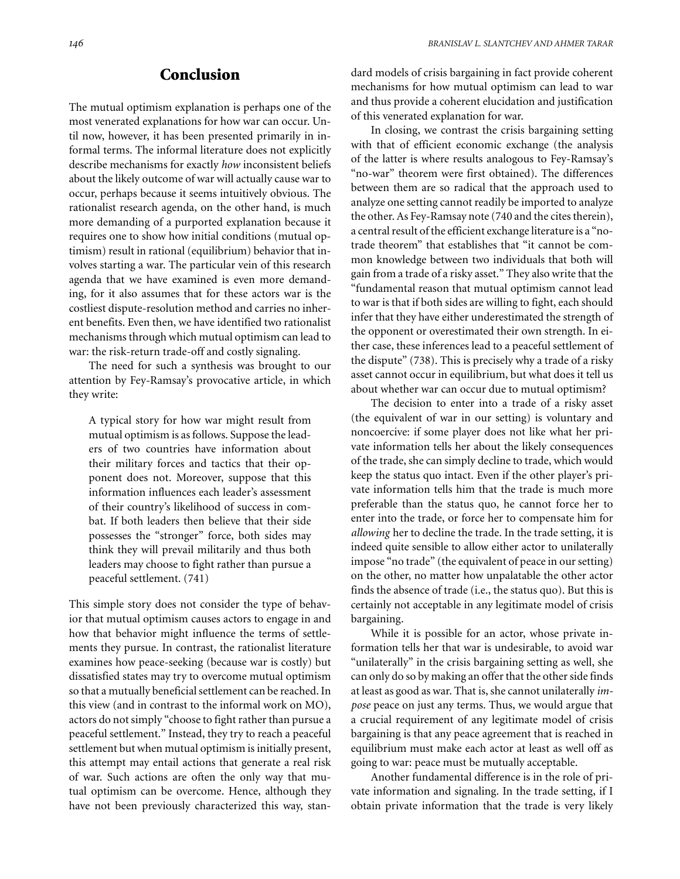## **Conclusion**

The mutual optimism explanation is perhaps one of the most venerated explanations for how war can occur. Until now, however, it has been presented primarily in informal terms. The informal literature does not explicitly describe mechanisms for exactly *how* inconsistent beliefs about the likely outcome of war will actually cause war to occur, perhaps because it seems intuitively obvious. The rationalist research agenda, on the other hand, is much more demanding of a purported explanation because it requires one to show how initial conditions (mutual optimism) result in rational (equilibrium) behavior that involves starting a war. The particular vein of this research agenda that we have examined is even more demanding, for it also assumes that for these actors war is the costliest dispute-resolution method and carries no inherent benefits. Even then, we have identified two rationalist mechanisms through which mutual optimism can lead to war: the risk-return trade-off and costly signaling.

The need for such a synthesis was brought to our attention by Fey-Ramsay's provocative article, in which they write:

A typical story for how war might result from mutual optimism is as follows. Suppose the leaders of two countries have information about their military forces and tactics that their opponent does not. Moreover, suppose that this information influences each leader's assessment of their country's likelihood of success in combat. If both leaders then believe that their side possesses the "stronger" force, both sides may think they will prevail militarily and thus both leaders may choose to fight rather than pursue a peaceful settlement. (741)

This simple story does not consider the type of behavior that mutual optimism causes actors to engage in and how that behavior might influence the terms of settlements they pursue. In contrast, the rationalist literature examines how peace-seeking (because war is costly) but dissatisfied states may try to overcome mutual optimism so that a mutually beneficial settlement can be reached. In this view (and in contrast to the informal work on MO), actors do not simply "choose to fight rather than pursue a peaceful settlement." Instead, they try to reach a peaceful settlement but when mutual optimism is initially present, this attempt may entail actions that generate a real risk of war. Such actions are often the only way that mutual optimism can be overcome. Hence, although they have not been previously characterized this way, standard models of crisis bargaining in fact provide coherent mechanisms for how mutual optimism can lead to war and thus provide a coherent elucidation and justification of this venerated explanation for war.

In closing, we contrast the crisis bargaining setting with that of efficient economic exchange (the analysis of the latter is where results analogous to Fey-Ramsay's "no-war" theorem were first obtained). The differences between them are so radical that the approach used to analyze one setting cannot readily be imported to analyze the other. As Fey-Ramsay note (740 and the cites therein), a central result of the efficient exchange literature is a "notrade theorem" that establishes that "it cannot be common knowledge between two individuals that both will gain from a trade of a risky asset." They also write that the "fundamental reason that mutual optimism cannot lead to war is that if both sides are willing to fight, each should infer that they have either underestimated the strength of the opponent or overestimated their own strength. In either case, these inferences lead to a peaceful settlement of the dispute" (738). This is precisely why a trade of a risky asset cannot occur in equilibrium, but what does it tell us about whether war can occur due to mutual optimism?

The decision to enter into a trade of a risky asset (the equivalent of war in our setting) is voluntary and noncoercive: if some player does not like what her private information tells her about the likely consequences of the trade, she can simply decline to trade, which would keep the status quo intact. Even if the other player's private information tells him that the trade is much more preferable than the status quo, he cannot force her to enter into the trade, or force her to compensate him for *allowing* her to decline the trade. In the trade setting, it is indeed quite sensible to allow either actor to unilaterally impose "no trade" (the equivalent of peace in our setting) on the other, no matter how unpalatable the other actor finds the absence of trade (i.e., the status quo). But this is certainly not acceptable in any legitimate model of crisis bargaining.

While it is possible for an actor, whose private information tells her that war is undesirable, to avoid war "unilaterally" in the crisis bargaining setting as well, she can only do so by making an offer that the other side finds at least as good as war. That is, she cannot unilaterally *impose* peace on just any terms. Thus, we would argue that a crucial requirement of any legitimate model of crisis bargaining is that any peace agreement that is reached in equilibrium must make each actor at least as well off as going to war: peace must be mutually acceptable.

Another fundamental difference is in the role of private information and signaling. In the trade setting, if I obtain private information that the trade is very likely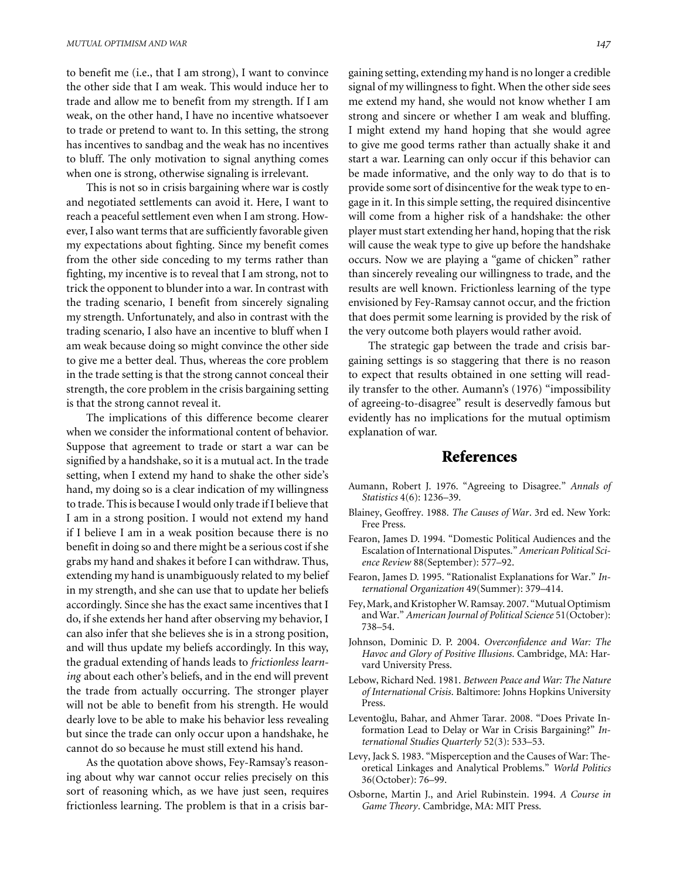to benefit me (i.e., that I am strong), I want to convince the other side that I am weak. This would induce her to trade and allow me to benefit from my strength. If I am weak, on the other hand, I have no incentive whatsoever to trade or pretend to want to. In this setting, the strong has incentives to sandbag and the weak has no incentives to bluff. The only motivation to signal anything comes when one is strong, otherwise signaling is irrelevant.

This is not so in crisis bargaining where war is costly and negotiated settlements can avoid it. Here, I want to reach a peaceful settlement even when I am strong. However, I also want terms that are sufficiently favorable given my expectations about fighting. Since my benefit comes from the other side conceding to my terms rather than fighting, my incentive is to reveal that I am strong, not to trick the opponent to blunder into a war. In contrast with the trading scenario, I benefit from sincerely signaling my strength. Unfortunately, and also in contrast with the trading scenario, I also have an incentive to bluff when I am weak because doing so might convince the other side to give me a better deal. Thus, whereas the core problem in the trade setting is that the strong cannot conceal their strength, the core problem in the crisis bargaining setting is that the strong cannot reveal it.

The implications of this difference become clearer when we consider the informational content of behavior. Suppose that agreement to trade or start a war can be signified by a handshake, so it is a mutual act. In the trade setting, when I extend my hand to shake the other side's hand, my doing so is a clear indication of my willingness to trade. This is because I would only trade if I believe that I am in a strong position. I would not extend my hand if I believe I am in a weak position because there is no benefit in doing so and there might be a serious cost if she grabs my hand and shakes it before I can withdraw. Thus, extending my hand is unambiguously related to my belief in my strength, and she can use that to update her beliefs accordingly. Since she has the exact same incentives that I do, if she extends her hand after observing my behavior, I can also infer that she believes she is in a strong position, and will thus update my beliefs accordingly. In this way, the gradual extending of hands leads to *frictionless learning* about each other's beliefs, and in the end will prevent the trade from actually occurring. The stronger player will not be able to benefit from his strength. He would dearly love to be able to make his behavior less revealing but since the trade can only occur upon a handshake, he cannot do so because he must still extend his hand.

As the quotation above shows, Fey-Ramsay's reasoning about why war cannot occur relies precisely on this sort of reasoning which, as we have just seen, requires frictionless learning. The problem is that in a crisis bargaining setting, extending my hand is no longer a credible signal of my willingness to fight. When the other side sees me extend my hand, she would not know whether I am strong and sincere or whether I am weak and bluffing. I might extend my hand hoping that she would agree to give me good terms rather than actually shake it and start a war. Learning can only occur if this behavior can be made informative, and the only way to do that is to provide some sort of disincentive for the weak type to engage in it. In this simple setting, the required disincentive will come from a higher risk of a handshake: the other player must start extending her hand, hoping that the risk will cause the weak type to give up before the handshake occurs. Now we are playing a "game of chicken" rather than sincerely revealing our willingness to trade, and the results are well known. Frictionless learning of the type envisioned by Fey-Ramsay cannot occur, and the friction that does permit some learning is provided by the risk of the very outcome both players would rather avoid.

The strategic gap between the trade and crisis bargaining settings is so staggering that there is no reason to expect that results obtained in one setting will readily transfer to the other. Aumann's (1976) "impossibility of agreeing-to-disagree" result is deservedly famous but evidently has no implications for the mutual optimism explanation of war.

## **References**

- Aumann, Robert J. 1976. "Agreeing to Disagree." *Annals of Statistics* 4(6): 1236–39.
- Blainey, Geoffrey. 1988. *The Causes of War*. 3rd ed. New York: Free Press.
- Fearon, James D. 1994. "Domestic Political Audiences and the Escalation of International Disputes." *American Political Science Review* 88(September): 577–92.
- Fearon, James D. 1995. "Rationalist Explanations for War." *International Organization* 49(Summer): 379–414.
- Fey,Mark, and KristopherW. Ramsay. 2007. "Mutual Optimism and War." *American Journal of Political Science* 51(October): 738–54.
- Johnson, Dominic D. P. 2004. *Overconfidence and War: The Havoc and Glory of Positive Illusions*. Cambridge, MA: Harvard University Press.
- Lebow, Richard Ned. 1981. *Between Peace and War: The Nature of International Crisis*. Baltimore: Johns Hopkins University Press.
- Leventoğlu, Bahar, and Ahmer Tarar. 2008. "Does Private Information Lead to Delay or War in Crisis Bargaining?" *International Studies Quarterly* 52(3): 533–53.
- Levy, Jack S. 1983. "Misperception and the Causes of War: Theoretical Linkages and Analytical Problems." *World Politics* 36(October): 76–99.
- Osborne, Martin J., and Ariel Rubinstein. 1994. *A Course in Game Theory*. Cambridge, MA: MIT Press.